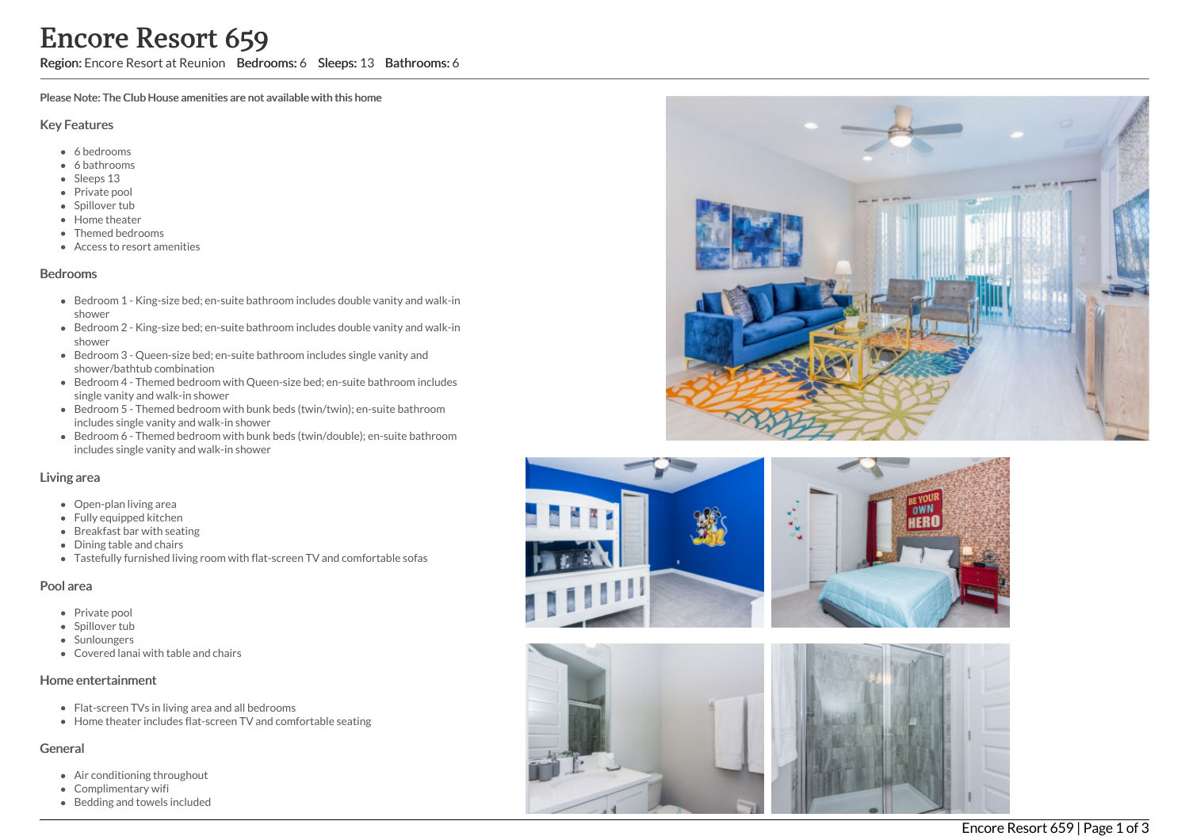Region: Encore Resort at Reunion Bedrooms: 6 Sleeps: 13 Bathrooms: 6

Please Note: The Club House amenities are not available with this home

#### Key Features

- 6 b e d r o o m s
- 6 bathrooms
- Sleeps 13
- Private pool
- Spillover tub
- Home theate r
- Themed bedrooms
- Access to resort amenities

#### **Bedrooms**

- Bedroom 1 King-size bed; en-suite bathroom includes double vanity and walk-in s h o w e r
- Bedroom 2 King-size bed; en-suite bathroom includes double vanity and walk-in s h o w e r
- Bedroom 3 Queen-size bed; en-suite bathroom includes single vanity and shower/bathtub combination
- Bedroom 4 Themed bedroom with Queen-size bed; en-suite bathroom includes single vanity and walk-in shower
- Bedroom 5 Themed bedroom with bunk beds (twin/twin); en-suite bathroom includes single vanity and walk-in shower
- Bedroom 6 Themed bedroom with bunk beds (twin/double); en-suite bathroo m includes single vanity and walk-in shower

### Living area

- Open-plan living area
- Fully equipped kitchen
- Breakfast bar with seating
- Dining table and chairs
- Tastefully furnished living room with flat-screen TV and comfortable sofas

### Pool area

- Private pool
- Spillover tub
- Sunloungers
- Covered lanai with table and chairs

### Home entertainment

- Flat-screen TVs in living area and all bedrooms
- Home theater includes flat-screen TV and comfortable seating

### General

- Air conditioning throughout
- Complimentary wifi
- Bedding and towels in clu d e d





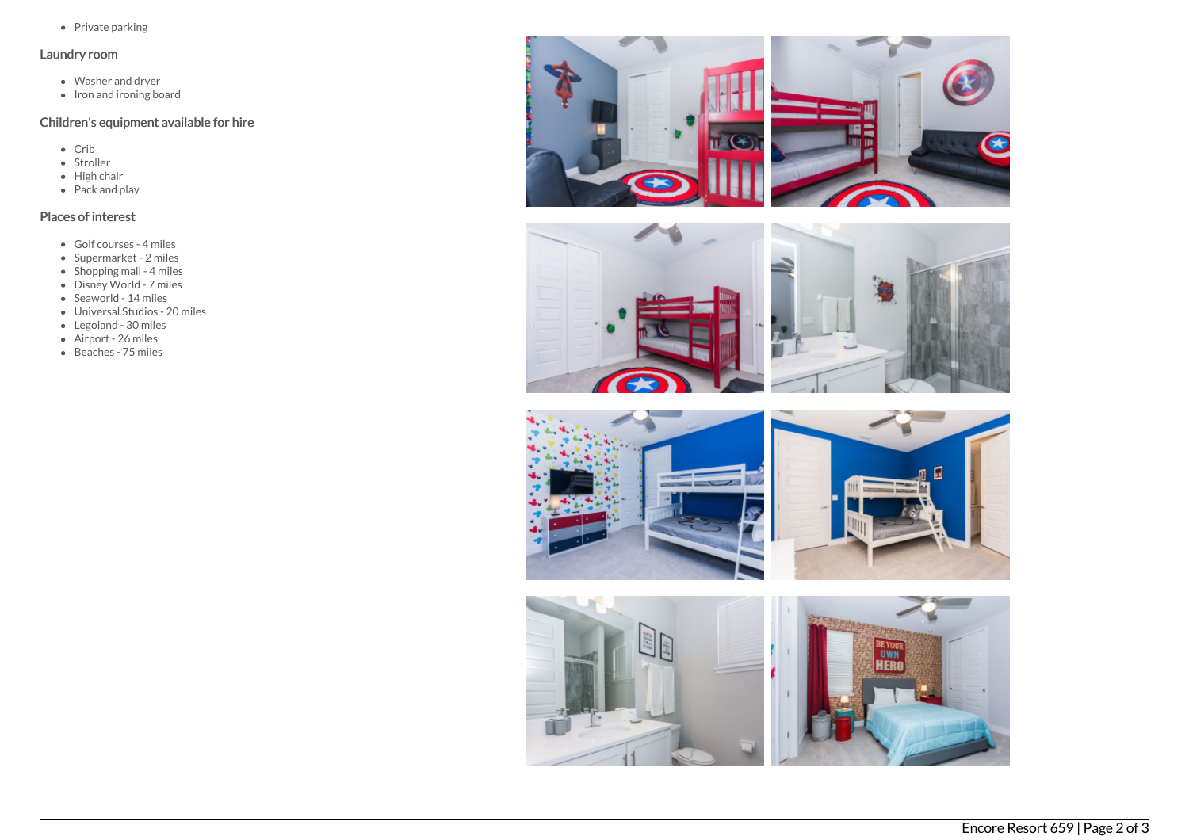• Private parking

## Laundry room

- Washer and dryer
- Iron and ironing board

# Children's equipment available for hire

- Crib
- Stroller
- $\bullet$  High chair
- Pack and play

# Places of interest

- Golf courses 4 miles
- Supermarket 2 miles
- Shopping mall 4 miles
- Disney World 7 miles
- Seaworld 14 miles
- Universal Studios 20 miles
- Legoland 30 miles
- Airport 26 miles
- Beaches 75 miles